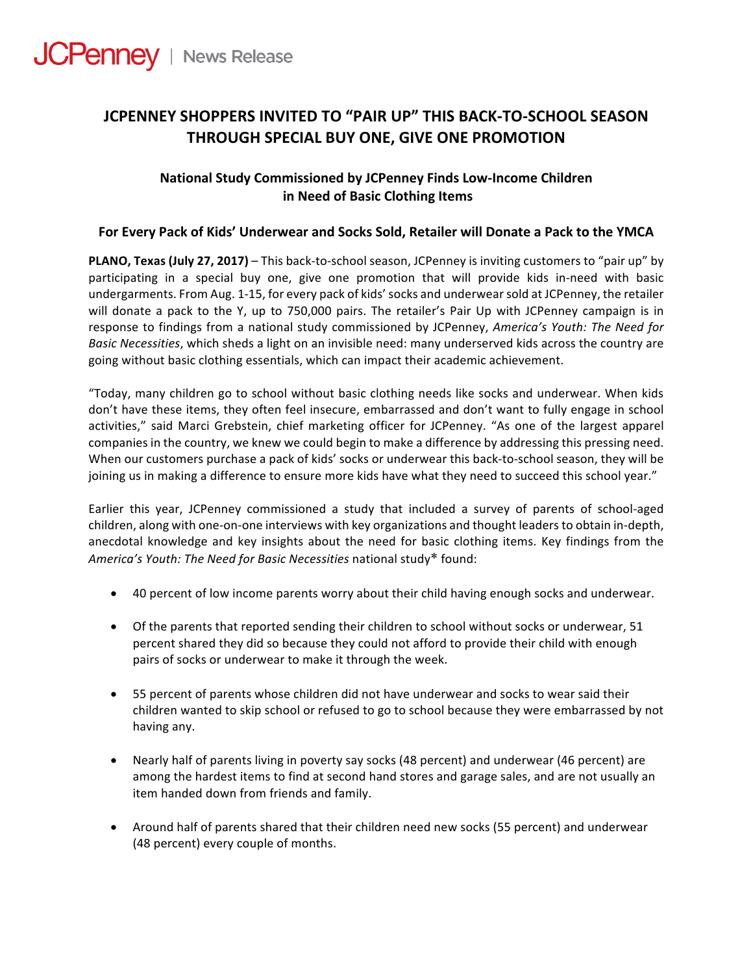

# **JCPENNEY SHOPPERS INVITED TO "PAIR UP" THIS BACK-TO-SCHOOL SEASON THROUGH SPECIAL BUY ONE, GIVE ONE PROMOTION**

# **National Study Commissioned by JCPenney Finds Low-Income Children in Need of Basic Clothing Items**

## For Every Pack of Kids' Underwear and Socks Sold, Retailer will Donate a Pack to the YMCA

**PLANO, Texas (July 27, 2017)** – This back-to-school season, JCPenney is inviting customers to "pair up" by participating in a special buy one, give one promotion that will provide kids in-need with basic undergarments. From Aug. 1-15, for every pack of kids' socks and underwear sold at JCPenney, the retailer will donate a pack to the Y, up to 750,000 pairs. The retailer's Pair Up with JCPenney campaign is in response to findings from a national study commissioned by JCPenney, *America's Youth: The Need for Basic Necessities*, which sheds a light on an invisible need: many underserved kids across the country are going without basic clothing essentials, which can impact their academic achievement.

"Today, many children go to school without basic clothing needs like socks and underwear. When kids don't have these items, they often feel insecure, embarrassed and don't want to fully engage in school activities," said Marci Grebstein, chief marketing officer for JCPenney. "As one of the largest apparel companies in the country, we knew we could begin to make a difference by addressing this pressing need. When our customers purchase a pack of kids' socks or underwear this back-to-school season, they will be joining us in making a difference to ensure more kids have what they need to succeed this school year."

Earlier this year, JCPenney commissioned a study that included a survey of parents of school-aged children, along with one-on-one interviews with key organizations and thought leaders to obtain in-depth, anecdotal knowledge and key insights about the need for basic clothing items. Key findings from the America's Youth: The Need for Basic Necessities national study\* found:

- 40 percent of low income parents worry about their child having enough socks and underwear.
- Of the parents that reported sending their children to school without socks or underwear, 51 percent shared they did so because they could not afford to provide their child with enough pairs of socks or underwear to make it through the week.
- 55 percent of parents whose children did not have underwear and socks to wear said their children wanted to skip school or refused to go to school because they were embarrassed by not having any.
- Nearly half of parents living in poverty say socks (48 percent) and underwear (46 percent) are among the hardest items to find at second hand stores and garage sales, and are not usually an item handed down from friends and family.
- Around half of parents shared that their children need new socks (55 percent) and underwear (48 percent) every couple of months.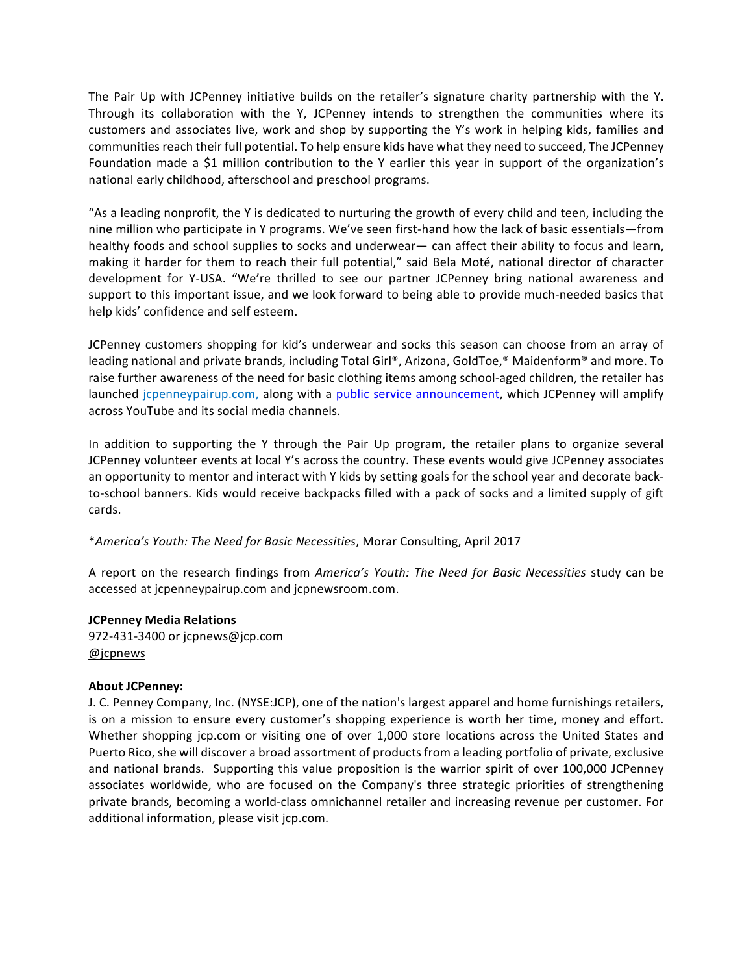The Pair Up with JCPenney initiative builds on the retailer's signature charity partnership with the Y. Through its collaboration with the Y, JCPenney intends to strengthen the communities where its customers and associates live, work and shop by supporting the Y's work in helping kids, families and communities reach their full potential. To help ensure kids have what they need to succeed, The JCPenney Foundation made a \$1 million contribution to the Y earlier this year in support of the organization's national early childhood, afterschool and preschool programs.

"As a leading nonprofit, the Y is dedicated to nurturing the growth of every child and teen, including the nine million who participate in Y programs. We've seen first-hand how the lack of basic essentials—from healthy foods and school supplies to socks and underwear— can affect their ability to focus and learn, making it harder for them to reach their full potential," said Bela Moté, national director of character development for Y-USA. "We're thrilled to see our partner JCPenney bring national awareness and support to this important issue, and we look forward to being able to provide much-needed basics that help kids' confidence and self esteem.

JCPenney customers shopping for kid's underwear and socks this season can choose from an array of leading national and private brands, including Total Girl®, Arizona, GoldToe,® Maidenform® and more. To raise further awareness of the need for basic clothing items among school-aged children, the retailer has launched icpenneypairup.com, along with a public service announcement, which JCPenney will amplify across YouTube and its social media channels.

In addition to supporting the Y through the Pair Up program, the retailer plans to organize several JCPenney volunteer events at local Y's across the country. These events would give JCPenney associates an opportunity to mentor and interact with Y kids by setting goals for the school year and decorate backto-school banners. Kids would receive backpacks filled with a pack of socks and a limited supply of gift cards.

## \**America's Youth: The Need for Basic Necessities*, Morar Consulting, April 2017

A report on the research findings from *America's Youth: The Need for Basic Necessities* study can be accessed at jcpenneypairup.com and jcpnewsroom.com.

#### **JCPenney Media Relations**

972-431-3400 or jcpnews@jcp.com @jcpnews

#### **About JCPenney:**

J. C. Penney Company, Inc. (NYSE:JCP), one of the nation's largest apparel and home furnishings retailers, is on a mission to ensure every customer's shopping experience is worth her time, money and effort. Whether shopping jcp.com or visiting one of over 1,000 store locations across the United States and Puerto Rico, she will discover a broad assortment of products from a leading portfolio of private, exclusive and national brands. Supporting this value proposition is the warrior spirit of over 100,000 JCPenney associates worldwide, who are focused on the Company's three strategic priorities of strengthening private brands, becoming a world-class omnichannel retailer and increasing revenue per customer. For additional information, please visit jcp.com.